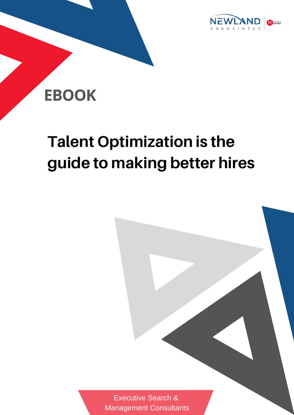

# **EBOOK**

# **Talent Optimization is the guide to making better hires**

Executive Search & [Management](http://www.newlandsearch.com/) Consultants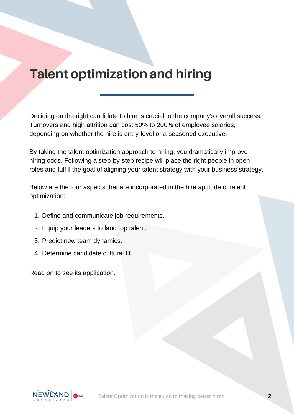### **Talent optimization and hiring**

Deciding on the right candidate to hire is crucial to the company's overall success. Turnovers and high attrition can cost 50% to 200% of employee salaries, depending on whether the hire is entry-level or a seasoned executive.

By taking the talent optimization approach to hiring, you dramatically improve hiring odds. Following a step-by-step recipe will place the right people in open roles and fulfill the goal of aligning your talent strategy with your business strategy.

Below are the four aspects that are incorporated in the hire aptitude of talent optimization:

- 1. Define and communicate job requirements.
- 2. Equip your leaders to land top talent.
- 3. Predict new team dynamics.
- 4. Determine candidate cultural fit.

Read on to see its application.

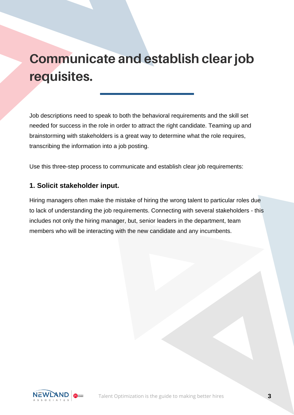## **Communicate and establish clear job requisites.**

Job descriptions need to speak to both the behavioral requirements and the skill set needed for success in the role in order to attract the right candidate. Teaming up and brainstorming with stakeholders is a great way to determine what the role requires, transcribing the information into a job posting.

Use this three-step process to communicate and establish clear job requirements:

#### **1. Solicit stakeholder input.**

Hiring managers often make the mistake of hiring the wrong talent to particular roles due to lack of understanding the job requirements. Connecting with several stakeholders - this includes not only the hiring manager, but, senior leaders in the department, team members who will be interacting with the new candidate and any incumbents.

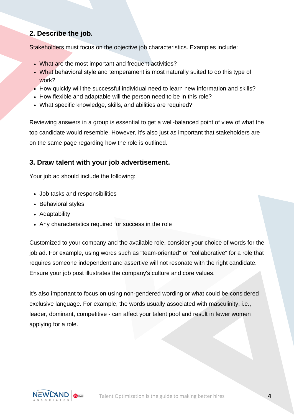#### **2. Describe the job.**

Stakeholders must focus on the objective job characteristics. Examples include:

- What are the most important and frequent activities?
- What behavioral style and temperament is most naturally suited to do this type of work?
- How quickly will the successful individual need to learn new information and skills?
- How flexible and adaptable will the person need to be in this role?
- What specific knowledge, skills, and abilities are required?

Reviewing answers in a group is essential to get a well-balanced point of view of what the top candidate would resemble. However, it's also just as important that stakeholders are on the same page regarding how the role is outlined.

#### **3. Draw talent with your job advertisement.**

Your job ad should include the following:

- Job tasks and responsibilities
- Behavioral styles
- Adaptability
- Any characteristics required for success in the role

Customized to your company and the available role, consider your choice of words for the job ad. For example, using words such as "team-oriented" or "collaborative" for a role that requires someone independent and assertive will not resonate with the right candidate. Ensure your job post illustrates the company's culture and core values.

It's also important to focus on using non-gendered wording or what could be considered exclusive language. For example, the words usually associated with masculinity, i.e., leader, dominant, competitive - can affect your talent pool and result in fewer women applying for a role.

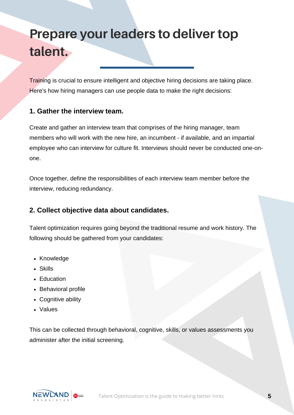### **Prepare your leaders to deliver top talent.**

Training is crucial to ensure intelligent and objective hiring decisions are taking place. Here's how hiring managers can use people data to make the right decisions:

#### **1. Gather the interview team.**

Create and gather an interview team that comprises of the hiring manager, team members who will work with the new hire, an incumbent - if available, and an impartial employee who can interview for culture fit. Interviews should never be conducted one-onone.

Once together, define the responsibilities of each interview team member before the interview, reducing redundancy.

#### **2. Collect objective data about candidates.**

Talent optimization requires going beyond the traditional resume and work history. The following should be gathered from your candidates:

- Knowledge
- Skills
- Education
- Behavioral profile
- Cognitive ability
- Values

This can be collected through behavioral, cognitive, skills, or values assessments you administer after the initial screening.

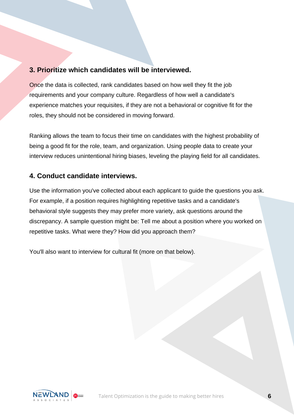#### **3. Prioritize which candidates will be interviewed.**

Once the data is collected, rank candidates based on how well they fit the job requirements and your company culture. Regardless of how well a candidate's experience matches your requisites, if they are not a behavioral or cognitive fit for the roles, they should not be considered in moving forward.

Ranking allows the team to focus their time on candidates with the highest probability of being a good fit for the role, team, and organization. Using people data to create your interview reduces unintentional hiring biases, leveling the playing field for all candidates.

#### **4. Conduct candidate interviews.**

Use the information you've collected about each applicant to guide the questions you ask. For example, if a position requires highlighting repetitive tasks and a candidate's behavioral style suggests they may prefer more variety, ask questions around the discrepancy. A sample question might be: Tell me about a position where you worked on repetitive tasks. What were they? How did you approach them?

You'll also want to interview for cultural fit (more on that below).

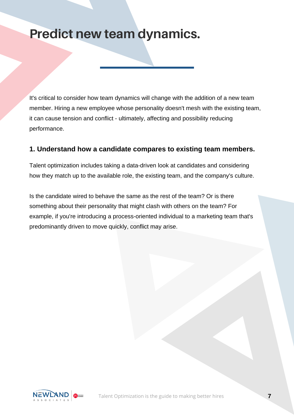### **Predict new team dynamics.**

It's critical to consider how team dynamics will change with the addition of a new team member. Hiring a new employee whose personality doesn't mesh with the existing team, it can cause tension and conflict - ultimately, affecting and possibility reducing performance.

#### **1. Understand how a candidate compares to existing team members.**

Talent optimization includes taking a data-driven look at candidates and considering how they match up to the available role, the existing team, and the company's culture.

Is the candidate wired to behave the same as the rest of the team? Or is there something about their personality that might clash with others on the team? For example, if you're introducing a process-oriented individual to a marketing team that's predominantly driven to move quickly, conflict may arise.

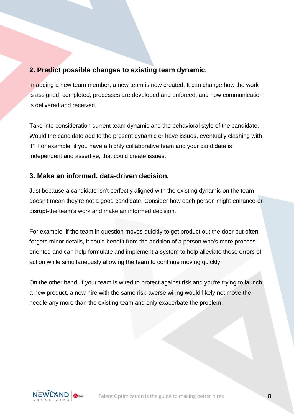#### **2. Predict possible changes to existing team dynamic.**

In adding a new team member, a new team is now created. It can change how the work is assigned, completed, processes are developed and enforced, and how communication is delivered and received.

Take into consideration current team dynamic and the behavioral style of the candidate. Would the candidate add to the present dynamic or have issues, eventually clashing with it? For example, if you have a highly collaborative team and your candidate is independent and assertive, that could create issues.

#### **3. Make an informed, data-driven decision.**

Just because a candidate isn't perfectly aligned with the existing dynamic on the team doesn't mean they're not a good candidate. Consider how each person might enhance-ordisrupt-the team's work and make an informed decision.

For example, if the team in question moves quickly to get product out the door but often forgets minor details, it could benefit from the addition of a person who's more processoriented and can help formulate and implement a system to help alleviate those errors of action while simultaneously allowing the team to continue moving quickly.

On the other hand, if your team is wired to protect against risk and you're trying to launch a new product, a new hire with the same risk-averse wiring would likely not move the needle any more than the existing team and only exacerbate the problem.

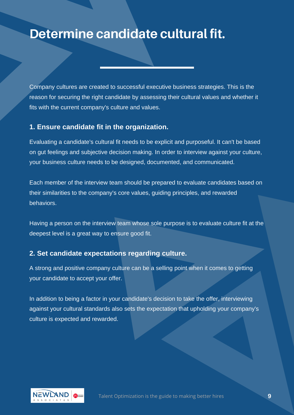### **Determine candidate cultural fit.**

Company cultures are created to successful executive business strategies. This is the reason for securing the right candidate by assessing their cultural values and whether it fits with the current company's culture and values.

#### **1. Ensure candidate fit in the organization.**

Evaluating a candidate's cultural fit needs to be explicit and purposeful. It can't be based on gut feelings and subjective decision making. In order to interview against your culture, your business culture needs to be designed, documented, and communicated.

Each member of the interview team should be prepared to evaluate candidates based on their similarities to the company's core values, guiding principles, and rewarded behaviors.

Having a person on the interview team whose sole purpose is to evaluate culture fit at the deepest level is a great way to ensure good fit.

#### **2. Set candidate expectations regarding culture.**

A strong and positive company culture can be a selling point when it comes to getting your candidate to accept your offer.

In addition to being a factor in your candidate's decision to take the offer, interviewing against your cultural standards also sets the expectation that upholding your company's culture is expected and rewarded.